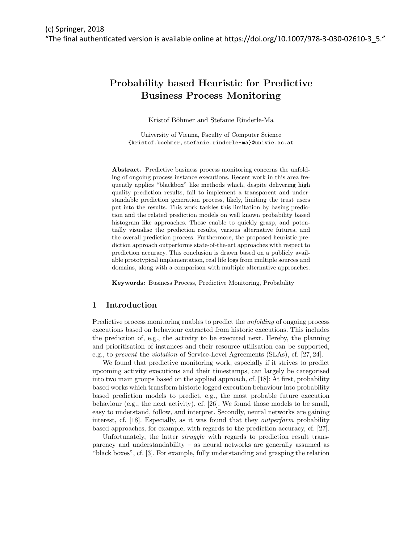# Probability based Heuristic for Predictive Business Process Monitoring

Kristof Böhmer and Stefanie Rinderle-Ma

University of Vienna, Faculty of Computer Science {kristof.boehmer,stefanie.rinderle-ma}@univie.ac.at

Abstract. Predictive business process monitoring concerns the unfolding of ongoing process instance executions. Recent work in this area frequently applies "blackbox" like methods which, despite delivering high quality prediction results, fail to implement a transparent and understandable prediction generation process, likely, limiting the trust users put into the results. This work tackles this limitation by basing prediction and the related prediction models on well known probability based histogram like approaches. Those enable to quickly grasp, and potentially visualise the prediction results, various alternative futures, and the overall prediction process. Furthermore, the proposed heuristic prediction approach outperforms state-of-the-art approaches with respect to prediction accuracy. This conclusion is drawn based on a publicly available prototypical implementation, real life logs from multiple sources and domains, along with a comparison with multiple alternative approaches.

Keywords: Business Process, Predictive Monitoring, Probability

# 1 Introduction

Predictive process monitoring enables to predict the *unfolding* of ongoing process executions based on behaviour extracted from historic executions. This includes the prediction of, e.g., the activity to be executed next. Hereby, the planning and prioritisation of instances and their resource utilisation can be supported, e.g., to prevent the violation of Service-Level Agreements (SLAs), cf. [27, 24].

We found that predictive monitoring work, especially if it strives to predict upcoming activity executions and their timestamps, can largely be categorised into two main groups based on the applied approach, cf. [18]: At first, probability based works which transform historic logged execution behaviour into probability based prediction models to predict, e.g., the most probable future execution behaviour (e.g., the next activity), cf. [26]. We found those models to be small, easy to understand, follow, and interpret. Secondly, neural networks are gaining interest, cf. [18]. Especially, as it was found that they outperform probability based approaches, for example, with regards to the prediction accuracy, cf. [27].

Unfortunately, the latter *struggle* with regards to prediction result transparency and understandability – as neural networks are generally assumed as "black boxes", cf. [3]. For example, fully understanding and grasping the relation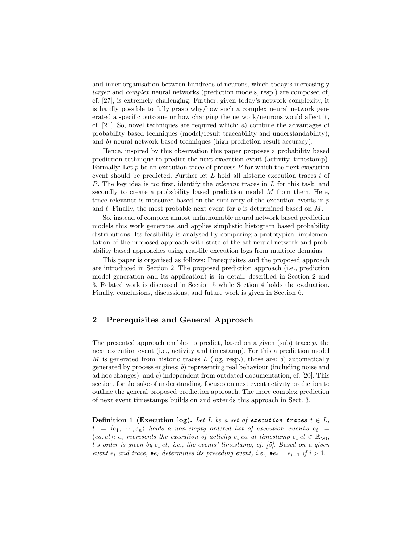and inner organisation between hundreds of neurons, which today's increasingly larger and complex neural networks (prediction models, resp.) are composed of, cf. [27], is extremely challenging. Further, given today's network complexity, it is hardly possible to fully grasp why/how such a complex neural network generated a specific outcome or how changing the network/neurons would affect it, cf. [21]. So, novel techniques are required which: a) combine the advantages of probability based techniques (model/result traceability and understandability); and b) neural network based techniques (high prediction result accuracy).

Hence, inspired by this observation this paper proposes a probability based prediction technique to predict the next execution event (activity, timestamp). Formally: Let  $p$  be an execution trace of process  $P$  for which the next execution event should be predicted. Further let  $L$  hold all historic execution traces  $t$  of P. The key idea is to: first, identify the relevant traces in L for this task, and secondly to create a probability based prediction model  $M$  from them. Here, trace relevance is measured based on the similarity of the execution events in  $p$ and t. Finally, the most probable next event for  $p$  is determined based on  $M$ .

So, instead of complex almost unfathomable neural network based prediction models this work generates and applies simplistic histogram based probability distributions. Its feasibility is analysed by comparing a prototypical implementation of the proposed approach with state-of-the-art neural network and probability based approaches using real-life execution logs from multiple domains.

This paper is organised as follows: Prerequisites and the proposed approach are introduced in Section 2. The proposed prediction approach (i.e., prediction model generation and its application) is, in detail, described in Section 2 and 3. Related work is discussed in Section 5 while Section 4 holds the evaluation. Finally, conclusions, discussions, and future work is given in Section 6.

# 2 Prerequisites and General Approach

The presented approach enables to predict, based on a given (sub) trace  $p$ , the next execution event (i.e., activity and timestamp). For this a prediction model M is generated from historic traces  $L$  (log, resp.), those are: a) automatically generated by process engines; b) representing real behaviour (including noise and ad hoc changes); and c) independent from outdated documentation, cf. [20]. This section, for the sake of understanding, focuses on next event activity prediction to outline the general proposed prediction approach. The more complex prediction of next event timestamps builds on and extends this approach in Sect. 3.

**Definition 1 (Execution log).** Let L be a set of execution traces  $t \in L$ ;  $t \; := \; \langle e_1, \cdots, e_n \rangle$  holds a non-empty ordered list of execution events  $e_i \; := \;$ (ea, et);  $e_i$  represents the execution of activity  $e_i$  ea at timestamp  $e_i$  et  $\in \mathbb{R}_{>0}$ ;  $t$ 's order is given by  $e_i.et$ , i.e., the events' timestamp, cf. [5]. Based on a given event  $e_i$  and trace,  $\bullet e_i$  determines its preceding event, i.e.,  $\bullet e_i = e_{i-1}$  if  $i > 1$ .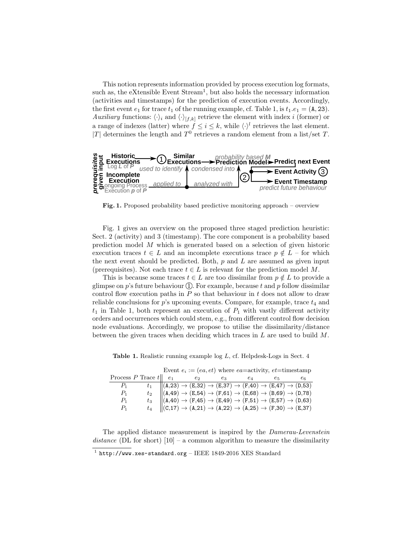This notion represents information provided by process execution log formats, such as, the eXtensible Event Stream<sup>1</sup>, but also holds the necessary information (activities and timestamps) for the prediction of execution events. Accordingly, the first event  $e_1$  for trace  $t_1$  of the running example, cf. Table 1, is  $t_1.e_1 = (A, 23)$ . Auxiliary functions:  $\langle \cdot \rangle_i$  and  $\langle \cdot \rangle_{[f,k]}$  retrieve the element with index i (former) or a range of indexes (latter) where  $f \leq i \leq k$ , while  $\langle \cdot \rangle^l$  retrieves the last element. |T| determines the length and  $T^0$  retrieves a random element from a list/set T.



Fig. 1. Proposed probability based predictive monitoring approach – overview

Fig. 1 gives an overview on the proposed three staged prediction heuristic: Sect. 2 (activity) and 3 (timestamp). The core component is a probability based prediction model M which is generated based on a selection of given historic execution traces  $t \in L$  and an incomplete executions trace  $p \notin L$  – for which the next event should be predicted. Both,  $p$  and  $L$  are assumed as given input (prerequisites). Not each trace  $t \in L$  is relevant for the prediction model M.

This is because some traces  $t \in L$  are too dissimilar from  $p \notin L$  to provide a glimpse on  $p$ 's future behaviour  $(1)$ . For example, because t and p follow dissimilar control flow execution paths in  $P$  so that behaviour in  $t$  does not allow to draw reliable conclusions for  $p$ 's upcoming events. Compare, for example, trace  $t_4$  and  $t_1$  in Table 1, both represent an execution of  $P_1$  with vastly different activity orders and occurrences which could stem, e.g., from different control flow decision node evaluations. Accordingly, we propose to utilise the dissimilarity/distance between the given traces when deciding which traces in  $L$  are used to build  $M$ .

Table 1. Realistic running example log L, cf. Helpdesk-Logs in Sect. 4

|       |  | $E$ reflix $\epsilon_i := (\epsilon u, \epsilon v)$ where $\epsilon u = \alpha \epsilon u$ is equively equaller statistic                                                                                                                                                                                                                                                                                                                                                                                                          |       |       |       |       |
|-------|--|------------------------------------------------------------------------------------------------------------------------------------------------------------------------------------------------------------------------------------------------------------------------------------------------------------------------------------------------------------------------------------------------------------------------------------------------------------------------------------------------------------------------------------|-------|-------|-------|-------|
|       |  | Process P Trace $t \parallel e_1$ $e_2$                                                                                                                                                                                                                                                                                                                                                                                                                                                                                            | $e_3$ | $e_4$ | $e_5$ | $e_6$ |
|       |  |                                                                                                                                                                                                                                                                                                                                                                                                                                                                                                                                    |       |       |       |       |
| $P_1$ |  |                                                                                                                                                                                                                                                                                                                                                                                                                                                                                                                                    |       |       |       |       |
| $P_1$ |  |                                                                                                                                                                                                                                                                                                                                                                                                                                                                                                                                    |       |       |       |       |
| $P_1$ |  | $\begin{array}{c c} t_1 & (\texttt{A},\texttt{23}) \rightarrow (\texttt{E},\texttt{32}) \rightarrow (\texttt{E},\texttt{37}) \rightarrow (\texttt{F},\texttt{40}) \rightarrow (\texttt{E},\texttt{47}) \rightarrow (\texttt{D},\texttt{53}) \\ t_2 & (\texttt{A},\texttt{49}) \rightarrow (\texttt{E},\texttt{54}) \rightarrow (\texttt{F},\texttt{61}) \rightarrow (\texttt{E},\texttt{68}) \rightarrow (\texttt{B},\texttt{69}) \rightarrow (\texttt{D},\texttt{78}) \\ t_3 & (\texttt{A},\texttt{40}) \rightarrow (\texttt{F},$ |       |       |       |       |

Event  $e_i := (e_i, e_j)$  where  $e_i = \text{activity}$ ,  $e_j = \text{timestamp}$ 

The applied distance measurement is inspired by the Damerau-Levenstein distance (DL for short)  $[10]$  – a common algorithm to measure the dissimilarity

 $^1$  http://www.xes-standard.org - IEEE 1849-2016 XES Standard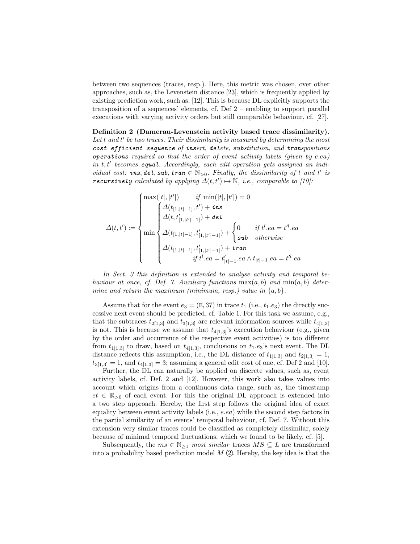between two sequences (traces, resp.). Here, this metric was chosen, over other approaches, such as, the Levenstein distance [23], which is frequently applied by existing prediction work, such as, [12]. This is because DL explicitly supports the transposition of a sequences' elements, cf. Def 2 – enabling to support parallel executions with varying activity orders but still comparable behaviour, cf. [27].

Definition 2 (Damerau-Levenstein activity based trace dissimilarity). Let  $t$  and  $t'$  be two traces. Their dissimilarity is measured by determining the most cost efficient sequence of insert, delete, substitution, and transpositions operations required so that the order of event activity labels (given by e.ea) in  $t, t'$  becomes equal. Accordingly, each edit operation gets assigned an individual cost: ins, del, sub, tran  $\in \mathbb{N}_{>0}$ . Finally, the dissimilarity of t and t' is recursively calculated by applying  $\Delta(t, t') \mapsto \mathbb{N}$ , i.e., comparable to [10]:

$$
\Delta(t, t') := \begin{cases} \max(|t|, |t'|) & \text{if } \min(|t|, |t'|) = 0 \\ \begin{cases} \Delta(t_{[1, |t|-1]}, t') + ins \\ \Delta(t, t'_{[1, |t'|-1]}) + de \end{cases} \\ \min \begin{cases} \Delta(t_{[1, |t|-1]}, t'_{[1, |t'|-1]}) + \begin{cases} 0 & \text{if } t^{l}.ea = t^{ll}.ea \\ sub & otherwise \end{cases} \\ \Delta(t_{[1, |t|-1]}, t'_{[1, |t'|-1]}) + tran \\ \text{if } t^{l}.ea = t'_{|t|-1}.ea \wedge t_{|t|-1}.ea = t^{ll}.ea \end{cases}
$$

In Sect. 3 this definition is extended to analyse activity and temporal behaviour at once, cf. Def. 7. Auxiliary functions  $\max(a, b)$  and  $\min(a, b)$  determine and return the maximum (minimum, resp.) value in  $\{a, b\}$ .

Assume that for the event  $e_3 = (E, 37)$  in trace  $t_1$  (i.e.,  $t_1.e_3$ ) the directly successive next event should be predicted, cf. Table 1. For this task we assume, e.g., that the subtraces  $t_{2[1,3]}$  and  $t_{3[1,3]}$  are relevant information sources while  $t_{4[1,3]}$ is not. This is because we assume that  $t_{4[1,3]}$ 's execution behaviour (e.g., given by the order and occurrence of the respective event activities) is too different from  $t_{1[1,3]}$  to draw, based on  $t_{4[1,3]}$ , conclusions on  $t_1.e_3$ 's next event. The DL distance reflects this assumption, i.e., the DL distance of  $t_{1,3}$  and  $t_{2,3} = 1$ ,  $t_{3[1,3]} = 1$ , and  $t_{4[1,3]} = 3$ ; assuming a general edit cost of one, cf. Def 2 and [10].

Further, the DL can naturally be applied on discrete values, such as, event activity labels, cf. Def. 2 and [12]. However, this work also takes values into account which origins from a continuous data range, such as, the timestamp  $et \in \mathbb{R}_{>0}$  of each event. For this the original DL approach is extended into a two step approach. Hereby, the first step follows the original idea of exact equality between event activity labels (i.e., e.ea) while the second step factors in the partial similarity of an events' temporal behaviour, cf. Def. 7. Without this extension very similar traces could be classified as completely dissimilar, solely because of minimal temporal fluctuations, which we found to be likely, cf. [5].

Subsequently, the  $ms \in \mathbb{N}_{\geq 1}$  most similar traces  $MS \subseteq L$  are transformed into a probability based prediction model  $M$   $(2)$ . Hereby, the key idea is that the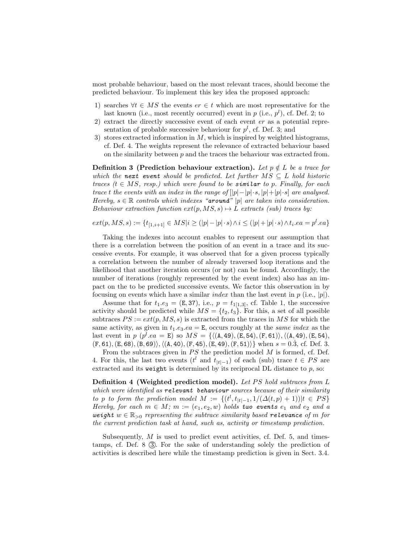most probable behaviour, based on the most relevant traces, should become the predicted behaviour. To implement this key idea the proposed approach:

- 1) searches  $\forall t \in MS$  the events  $er \in t$  which are most representative for the last known (i.e., most recently occurred) event in  $p$  (i.e.,  $p^l$ ), cf. Def. 2; to
- 2) extract the directly successive event of each event er as a potential representation of probable successive behaviour for  $p<sup>l</sup>$ , cf. Def. 3; and
- 3) stores extracted information in  $M$ , which is inspired by weighted histograms, cf. Def. 4. The weights represent the relevance of extracted behaviour based on the similarity between  $p$  and the traces the behaviour was extracted from.

**Definition 3 (Prediction behaviour extraction).** Let  $p \notin L$  be a trace for which the next event should be predicted. Let further  $MS \subseteq L$  hold historic traces  $(t \in MS, resp.)$  which were found to be similar to p. Finally, for each trace t the events with an index in the range of  $[|p|-|p|\cdot s, |p|+|p|\cdot s]$  are analysed. Hereby,  $s \in \mathbb{R}$  controls which indexes "around" |p| are taken into consideration. Behaviour extraction function  $ext(p, MS, s) \mapsto L$  extracts (sub) traces by:

 $ext(p, MS, s) := \{t_{[1, i+1]} \in MS | i \geq (|p| - |p| \cdot s) \land i \leq (|p| + |p| \cdot s) \land t_i \cdot ea = p^l \cdot ea\}$ 

Taking the indexes into account enables to represent our assumption that there is a correlation between the position of an event in a trace and its successive events. For example, it was observed that for a given process typically a correlation between the number of already traversed loop iterations and the likelihood that another iteration occurs (or not) can be found. Accordingly, the number of iterations (roughly represented by the event index) also has an impact on the to be predicted successive events. We factor this observation in by focusing on events which have a similar *index* than the last event in  $p$  (i.e.,  $|p|$ ).

Assume that for  $t_1.e_3 = (E, 37)$ , i.e.,  $p = t_1_{[1,3]}$ , cf. Table 1, the successive activity should be predicted while  $MS = \{t_2, t_3\}$ . For this, a set of all possible subtraces  $PS := ext(p, MS, s)$  is extracted from the traces in MS for which the same activity, as given in  $t_1.e_3.ea = E$ , occurs roughly at the same index as the last event in  $p(p^l.ea = E)$  so  $MS = \{ \langle (A, 49), (E, 54), (F, 61) \rangle, \langle (A, 49), (E, 54),$  $(F, 61), (E, 68), (B, 69), \langle (A, 40), (F, 45), (E, 49), (F, 51) \rangle$  when  $s = 0.3$ , cf. Def. 3.

From the subtraces given in  $PS$  the prediction model  $M$  is formed, cf. Def. 4. For this, the last two events  $(t^l \text{ and } t_{|t|-1})$  of each (sub) trace  $t \in PS$  are extracted and its weight is determined by its reciprocal DL distance to  $p$ , so:

Definition 4 (Weighted prediction model). Let PS hold subtraces from L which were identified as relevant behaviour sources because of their similarity to p to form the prediction model  $M := \{(t^l, t_{|t|-1}, 1/(\Delta(t, p) + 1)) | t \in PS\}$ Hereby, for each  $m \in M$ ;  $m := (e_1, e_2, w)$  holds two events  $e_1$  and  $e_2$  and a weight  $w \in \mathbb{R}_{>0}$  representing the subtrace similarity based relevance of m for the current prediction task at hand, such as, activity or timestamp prediction.

Subsequently,  $M$  is used to predict event activities, cf. Def. 5, and timestamps, cf. Def.  $8 \text{ } \textcircled{3}$ . For the sake of understanding solely the prediction of activities is described here while the timestamp prediction is given in Sect. 3.4.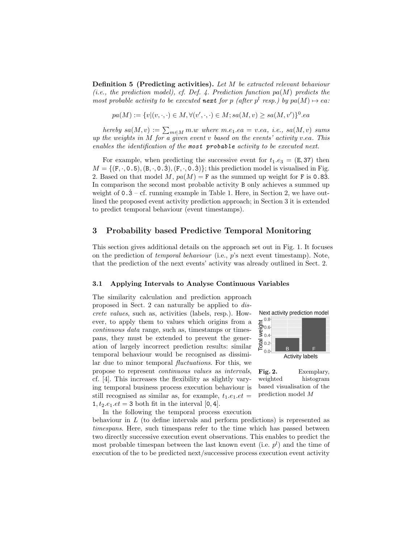Definition 5 (Predicting activities). Let M be extracted relevant behaviour (i.e., the prediction model), cf. Def. 4. Prediction function  $pa(M)$  predicts the most probable activity to be executed **next** for p (after  $p^l$  resp.) by  $pa(M) \mapsto ea$ .

$$
pa(M) := \{v | (v, \cdot, \cdot) \in M, \forall (v', \cdot, \cdot) \in M; sa(M, v) \geq sa(M, v')\}^{0}.
$$

hereby  $sa(M, v) := \sum_{m \in M} m.w$  where  $m.e_1.ea = v.ea, i.e.,\ sa(M, v)$  sums up the weights in  $M$  for a given event  $v$  based on the events' activity  $v.ea$ . This enables the identification of the most probable activity to be executed next.

For example, when predicting the successive event for  $t_1.e_3 = (E, 37)$  then  $M = \{ (F, \cdot, 0.5), (B, \cdot, 0.3), (F, \cdot, 0.3) \}$ ; this prediction model is visualised in Fig. 2. Based on that model M,  $pa(M) = F$  as the summed up weight for F is 0.83. In comparison the second most probable activity B only achieves a summed up weight of  $0.\overline{3}$  – cf. running example in Table 1. Here, in Section 2, we have outlined the proposed event activity prediction approach; in Section 3 it is extended to predict temporal behaviour (event timestamps).

# 3 Probability based Predictive Temporal Monitoring

This section gives additional details on the approach set out in Fig. 1. It focuses on the prediction of temporal behaviour (i.e., p's next event timestamp). Note, that the prediction of the next events' activity was already outlined in Sect. 2.

### 3.1 Applying Intervals to Analyse Continuous Variables

The similarity calculation and prediction approach proposed in Sect. 2 can naturally be applied to discrete values, such as, activities (labels, resp.). However, to apply them to values which origins from a continuous data range, such as, timestamps or timespans, they must be extended to prevent the generation of largely incorrect prediction results: similar temporal behaviour would be recognised as dissimilar due to minor temporal fluctuations. For this, we propose to represent continuous values as intervals, cf. [4]. This increases the flexibility as slightly varying temporal business process execution behaviour is still recognised as similar as, for example,  $t_1.e_1.e_t =$ 1,  $t_2.e_1.e_1 = 3$  both fit in the interval [0, 4].

Next activity prediction model





In the following the temporal process execution

behaviour in  $L$  (to define intervals and perform predictions) is represented as timespans. Here, such timespans refer to the time which has passed between two directly successive execution event observations. This enables to predict the most probable timespan between the last known event (i.e.  $p^{l}$ ) and the time of execution of the to be predicted next/successive process execution event activity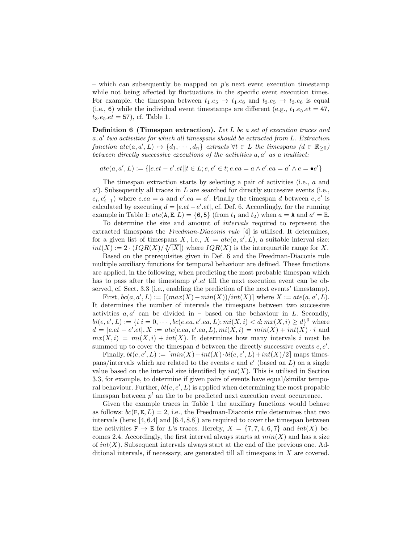– which can subsequently be mapped on  $p$ 's next event execution timestamp while not being affected by fluctuations in the specific event execution times. For example, the timespan between  $t_1.e_5 \rightarrow t_1.e_6$  and  $t_3.e_5 \rightarrow t_3.e_6$  is equal (i.e., 6) while the individual event timestamps are different (e.g.,  $t_1.e_5.et = 47$ ,  $t_3.e_5.et = 57$ , cf. Table 1.

**Definition 6 (Timespan extraction).** Let L be a set of execution traces and  $a, a'$  two activities for which all timespans should be extracted from  $L$ . Extraction function  $ate(a, a', L) \mapsto \{d_1, \dots, d_n\}$  extracts  $\forall t \in L$  the timespans  $(d \in \mathbb{R}_{\geq 0})$ between directly successive executions of the activities  $a, a'$  as a multiset:

 $ate(a, a', L) := \{ |e.et - e'.et| | t \in L; e, e' \in t; e.ea = a \wedge e'.ea = a' \wedge e = \bullet e' \}$ 

The timespan extraction starts by selecting a pair of activities (i.e., a and  $a'$ ). Subsequently all traces in  $L$  are searched for directly successive events (i.e.,  $e_i, e'_{i+1}$  where  $e.ea = a$  and  $e'.ea = a'.$  Finally the timespan d between  $e, e'$  is calculated by executing  $d = |e.e^{-t} - e' . et|$ , cf. Def. 6. Accordingly, for the running example in Table 1:  $ate(\mathbf{A}, \mathbf{E}, L) = \{6, 5\}$  (from  $t_1$  and  $t_2$ ) when  $a = \mathbf{A}$  and  $a' = \mathbf{E}$ .

To determine the size and amount of intervals required to represent the extracted timespans the Freedman-Diaconis rule [4] is utilised. It determines, for a given list of timespans X, i.e.,  $X = ate(a, a', L)$ , a suitable interval size:  $int(X) := 2 \cdot (IQR(X)/\sqrt[3]{|X|})$  where  $IQR(X)$  is the interquartile range for X.

Based on the prerequisites given in Def. 6 and the Freedman-Diaconis rule multiple auxiliary functions for temporal behaviour are defined. These functions are applied, in the following, when predicting the most probable timespan which has to pass after the timestamp  $p^l.e$  till the next execution event can be observed, cf. Sect. 3.3 (i.e., enabling the prediction of the next events' timestamp).

First,  $bc(a, a', L) := [(max(X) - min(X)) / int(X)]$  where  $X := ate(a, a', L)$ . It determines the number of intervals the timespans between two successive activities  $a, a'$  can be divided in – based on the behaviour in L. Secondly,  $bi(e, e', L) := \{i | i = 0, \cdots, bc(e.ea, e'.ea, L); mi(X, i) < d; mx(X, i) \geq d\}^0$  where  $d = |e_{i}e_{i} - e'_{i}e_{i}|, X := ate(e_{i}e_{i}, e'_{i}e_{i}, E_{i}), mi(X, i) = min(X) + int(X) \cdot i$  and  $mx(X, i) = mi(X, i) + int(X)$ . It determines how many intervals i must be summed up to cover the timespan  $d$  between the directly successive events  $e, e'.$ 

Finally,  $bt(e, e', L) := \lceil min(X) + int(X) \cdot bi(e, e', L) + int(X)/2 \rceil$  maps timespans/intervals which are related to the events  $e$  and  $e'$  (based on  $L$ ) on a single value based on the interval size identified by  $int(X)$ . This is utilised in Section 3.3, for example, to determine if given pairs of events have equal/similar temporal behaviour. Further,  $bt(e, e', L)$  is applied when determining the most propable timespan between  $p^{l}$  an the to be predicted next execution event occurrence.

Given the example traces in Table 1 the auxiliary functions would behave as follows:  $bc(F, E, L) = 2$ , i.e., the Freedman-Diaconis rule determines that two intervals (here:  $[4, 6.4]$  and  $[6.4, 8.8]$ ) are required to cover the timespan between the activities  $F \to E$  for L's traces. Hereby,  $X = \{7, 7, 4, 6, 7\}$  and  $int(X)$  becomes 2.4. Accordingly, the first interval always starts at  $min(X)$  and has a size of  $int(X)$ . Subsequent intervals always start at the end of the previous one. Additional intervals, if necessary, are generated till all timespans in X are covered.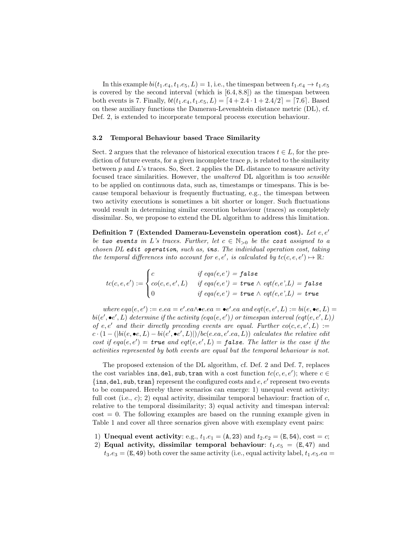In this example  $bi(t_1.e_4, t_1.e_5, L) = 1$ , i.e., the timespan between  $t_1.e_4 \rightarrow t_1.e_5$ is covered by the second interval (which is  $[6.4, 8.8]$ ) as the timespan between both events is 7. Finally,  $bt(t_1.e_4, t_1.e_5, L) = [4 + 2.4 \cdot 1 + 2.4/2] = [7.6]$ . Based on these auxiliary functions the Damerau-Levenshtein distance metric (DL), cf. Def. 2, is extended to incorporate temporal process execution behaviour.

#### 3.2 Temporal Behaviour based Trace Similarity

Sect. 2 argues that the relevance of historical execution traces  $t \in L$ , for the prediction of future events, for a given incomplete trace  $p$ , is related to the similarity between  $p$  and  $L$ 's traces. So, Sect. 2 applies the DL distance to measure activity focused trace similarities. However, the unaltered DL algorithm is too sensible to be applied on continuous data, such as, timestamps or timespans. This is because temporal behaviour is frequently fluctuating, e.g., the timespan between two activity executions is sometimes a bit shorter or longer. Such fluctuations would result in determining similar execution behaviour (traces) as completely dissimilar. So, we propose to extend the DL algorithm to address this limitation.

Definition 7 (Extended Damerau-Levenstein operation cost). Let  $e, e'$ be two events in L's traces. Further, let  $c \in \mathbb{N}_{>0}$  be the cost assigned to a chosen DL edit operation, such as, ins. The individual operation cost, taking the temporal differences into account for e, e', is calculated by  $tc(c, e, e') \mapsto \mathbb{R}$ .

$$
tc(c, e, e') := \begin{cases} c & \text{if } eqa(e, e') = false \\ co(c, e, e', L) & \text{if } eqa(e, e') = true \land eqt(e, e', L) = false \\ 0 & \text{if } eqa(e, e') = true \land eqt(e, e', L) = true \end{cases}
$$

where  $eqa(e, e') := e.ea = e'.ea \land \bullet e.ea = \bullet e'.ea$  and  $eqt(e, e', L) := bi(e, \bullet e, L) =$  $\textit{bi}(e', \bullet e', L)$  determine if the activity (eqa(e, e')) or timespan interval (eqt(e, e', L)) of e, e' and their directly preceding events are equal. Further  $co(c, e, e', L) :=$  $c \cdot (1 - (|bi(e, \bullet e, L) - bi(e', \bullet e', L)|)/bc(e.ea, e'.ea, L))$  calculates the relative edit cost if  $eqa(e, e') =$  true and  $eqt(e, e', L) =$  false. The latter is the case if the activities represented by both events are equal but the temporal behaviour is not.

The proposed extension of the DL algorithm, cf. Def. 2 and Def. 7, replaces the cost variables ins, del, sub, tran with a cost function  $tc(c, e, e')$ ; where  $c \in$  $\{\texttt{ins}, \texttt{del}, \texttt{sub}, \texttt{tran}\}$  represent the configured costs and  $e, e'$  represent two events to be compared. Hereby three scenarios can emerge: 1) unequal event activity: full cost (i.e., c); 2) equal activity, dissimilar temporal behaviour: fraction of c, relative to the temporal dissimilarity; 3) equal activity and timespan interval:  $\cos t = 0$ . The following examples are based on the running example given in Table 1 and cover all three scenarios given above with exemplary event pairs:

- 1) **Unequal event activity**: e.g.,  $t_1.e_1 = (A, 23)$  and  $t_2.e_2 = (E, 54)$ ,  $cost = c$ ;
- 2) Equal activity, dissimilar temporal behaviour:  $t_1.e_5 = (E, 47)$  and  $t_3.e_3 = (E, 49)$  both cover the same activity (i.e., equal activity label,  $t_1.e_5.ea =$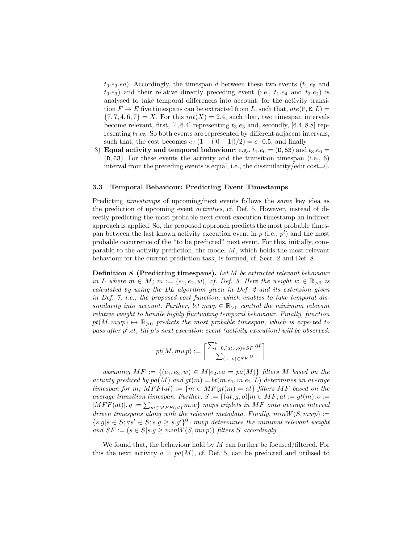$t_3.e_3.ea$ ). Accordingly, the timespan d between these two events  $(t_1.e_5$  and  $t_3.e_3$ ) and their relative directly preceding event (i.e.,  $t_1.e_4$  and  $t_3.e_2$ ) is analysed to take temporal differences into account: for the activity transition  $F \to E$  five timespans can be extracted from L, such that,  $ate(F, E, L)$  =  ${7, 7, 4, 6, 7} = X$ . For this  $int(X) = 2.4$ , such that, two timespan intervals become relevant, first, [4, 6.4] representing  $t_3.e_3$  and, secondly, [6.4, 8.8] representing  $t_1.e_5$ . So both events are represented by different adjacent intervals, such that, the cost becomes  $c \cdot (1 - (0 - 1))/2 = c \cdot 0.5$ ; and finally

3) Equal activity and temporal behaviour: e.g.,  $t_1.e_6 = (D, 53)$  and  $t_3.e_6 =$ (D, 63). For these events the activity and the transition timespan (i.e., 6) interval from the preceding events is equal, i.e., the dissimilarity/edit cost=0.

### 3.3 Temporal Behaviour: Predicting Event Timestamps

Predicting timestamps of upcoming/next events follows the same key idea as the prediction of upcoming event activities, cf. Def. 5. However, instead of directly predicting the most probable next event execution timestamp an indirect approach is applied. So, the proposed approach predicts the most probable timespan between the last known activity execution event in  $p$  (i.e.,  $p<sup>l</sup>$ ) and the most probable occurrence of the "to be predicted" next event. For this, initially, comparable to the activity prediction, the model  $M$ , which holds the most relevant behaviour for the current prediction task, is formed, cf. Sect. 2 and Def. 8.

Definition 8 (Predicting timespans). Let M be extracted relevant behaviour in L where  $m \in M$ ;  $m := (e_1, e_2, w)$ , cf. Def. 5. Here the weight  $w \in \mathbb{R}_{\geq 0}$  is calculated by using the DL algorithm given in Def. 2 and its extension given in Def. 7, i.e., the proposed cost function; which enables to take temporal dissimilarity into account. Further, let  $mwp \in \mathbb{R}_{>0}$  control the minimum relevant relative weight to handle highly fluctuating temporal behaviour. Finally, function  $pt(M, mwp) \mapsto \mathbb{R}_{\geq 0}$  predicts the most probable timespan, which is expected to pass after  $p^l$  et, till p's next execution event (activity execution) will be observed:

$$
pt(M, mwp) := \left\lceil \frac{\sum_{i=0, (at, \cdot, o) \in SF}^{o} at}{\sum_{(\cdot, \cdot, o) \in SF} o}\right\rceil
$$

assuming  $MF := \{(e_1, e_2, w) \in M | e_2 \ldots e_n = pa(M)\}\$  filters M based on the activity prediced by  $pa(M)$  and  $gt(m) = bt(m.e_1, m.e_2, L)$  determines an average timespan for m;  $MFF(at) := \{m \in MF|gt(m) = at\}$  filters MF based on the average transition timespan. Further,  $S := \{(at, g, o) | m \in MF; at := gt(m), o :=$  $|MFF(at)|, g := \sum_{m \in MFF(at)} m.w\}$  maps triplets in MF onto average interval driven timespans along with the relevant metadata. Finally,  $minW(S, mwp) :=$  ${s, g | s \in S; \forall s' \in S; s.g \geq s.g' \}^0 \cdot mwp \, \text{ determines the minimal relevant weight}$ and  $SF := (s \in S | s.g \geq minW(S, mwp))$  filters S accordingly.

We found that, the behaviour hold by  $M$  can further be focused/filtered. For this the next activity  $a = pa(M)$ , cf. Def. 5, can be predicted and utilised to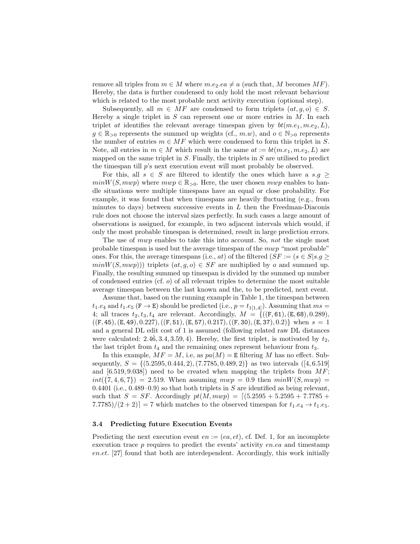remove all triples from  $m \in M$  where  $m.e_2.ea \neq a$  (such that, M becomes MF). Hereby, the data is further condensed to only hold the most relevant behaviour which is related to the most probable next activity execution (optional step).

Subsequently, all  $m \in MF$  are condensed to form triplets  $(at, g, o) \in S$ . Hereby a single triplet in  $S$  can represent one or more entries in  $M$ . In each triplet at identifies the relevant average timespan given by  $bt(m.e<sub>1</sub>, m.e<sub>2</sub>, L)$ ,  $g \in \mathbb{R}_{>0}$  represents the summed up weights (cf.,  $m.w$ ), and  $o \in \mathbb{N}_{>0}$  represents the number of entries  $m \in MF$  which were condensed to form this triplet in S. Note, all entries in  $m \in M$  which result in the same  $at := bt(m.e_1, m.e_2, L)$  are mapped on the same triplet in  $S$ . Finally, the triplets in  $S$  are utilised to predict the timespan till p's next execution event will most probably be observed.

For this, all  $s \in S$  are filtered to identify the ones which have a  $s.g \geq$  $minW(S, mwp)$  where  $mwp \in \mathbb{R}_{>0}$ . Here, the user chosen  $mwp$  enables to handle situations were multiple timespans have an equal or close probability. For example, it was found that when timespans are heavily fluctuating (e.g., from minutes to days) between successive events in  $L$  then the Freedman-Diaconis rule does not choose the interval sizes perfectly. In such cases a large amount of observations is assigned, for example, in two adjacent intervals which would, if only the most probable timespan is determined, result in large prediction errors.

The use of *mwp* enables to take this into account. So, *not* the single most probable timespan is used but the average timespan of the mwp "most probable" ones. For this, the average timespans (i.e., at) of the filtered  $(SF := (s \in S | s.g \geq s])$  $minW(S, mwp))$  triplets  $(at, g, o) \in SF$  are multiplied by o and summed up. Finally, the resulting summed up timespan is divided by the summed up number of condensed entries (cf.  $o$ ) of all relevant triples to determine the most suitable average timespan between the last known and the, to be predicted, next event.

Assume that, based on the running example in Table 1, the timespan between  $t_1.e_4$  and  $t_1.e_5$  ( $\mathbf{F} \to \mathbf{E}$ ) should be predicted (i.e.,  $p = t_{1,1,4}$ ). Assuming that  $ms =$ 4; all traces  $t_2, t_3, t_4$  are relevant. Accordingly,  $M = \{((F, 61), (E, 68), 0.289),$  $((F, 45), (E, 49), 0.227), ((F, 51), (E, 57), 0.217), ((F, 30), (E, 37), 0.2)$ } when  $s = 1$ and a general DL edit cost of 1 is assumed (following related raw DL distances were calculated: 2.46, 3.4, 3.59, 4). Hereby, the first triplet, is motivated by  $t_2$ , the last triplet from  $t_4$  and the remaining ones represent behaviour from  $t_3$ .

In this example,  $MF = M$ , i.e, as  $pa(M) = E$  filtering M has no effect. Subsequently,  $S = \{(5.2595, 0.444, 2), (7.7785, 0.489, 2)\}\$ as two intervals  $([4, 6.519]$ and  $[6.519, 9.038]$  need to be created when mapping the triplets from  $MF$ ;  $int({7, 4, 6, 7}) = 2.519$ . When assuming  $mwp = 0.9$  then  $minW(S, mwp) =$ 0.4401 (i.e.,  $0.489 \cdot 0.9$ ) so that both triplets in S are identified as being relevant, such that  $S = SF$ . Accordingly  $pt(M, mwp) = [(5.2595 + 5.2595 + 7.7785 +$ 7.7785)/(2+2)] = 7 which matches to the observed timespan for  $t_1.e_4 \rightarrow t_1.e_5$ .

#### 3.4 Predicting future Execution Events

Predicting the next execution event  $en := (ea, et)$ , cf. Def. 1, for an incomplete execution trace  $p$  requires to predict the events' activity  $en.ea$  and timestamp en.et. [27] found that both are interdependent. Accordingly, this work initially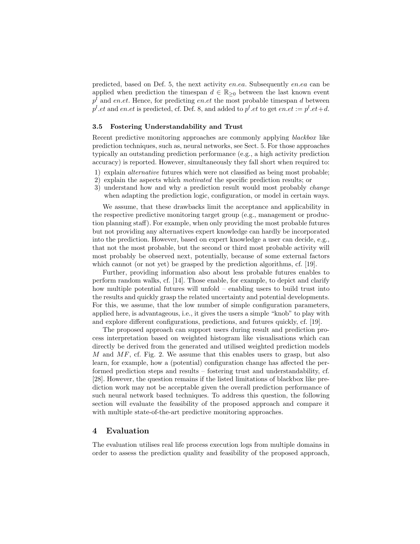predicted, based on Def. 5, the next activity en.ea. Subsequently en.ea can be applied when prediction the timespan  $d \in \mathbb{R}_{\geq 0}$  between the last known event  $p<sup>l</sup>$  and en.et. Hence, for predicting en.et the most probable timespan d between  $p^l$ .et and en.et is predicted, cf. Def. 8, and added to  $p^l$ .et to get en.et :=  $p^l$ .et+d.

#### 3.5 Fostering Understandability and Trust

Recent predictive monitoring approaches are commonly applying blackbox like prediction techniques, such as, neural networks, see Sect. 5. For those approaches typically an outstanding prediction performance (e.g., a high activity prediction accuracy) is reported. However, simultaneously they fall short when required to:

- 1) explain alternative futures which were not classified as being most probable;
- 2) explain the aspects which motivated the specific prediction results; or
- 3) understand how and why a prediction result would most probably change when adapting the prediction logic, configuration, or model in certain ways.

We assume, that these drawbacks limit the acceptance and applicability in the respective predictive monitoring target group (e.g., management or production planning staff). For example, when only providing the most probable futures but not providing any alternatives expert knowledge can hardly be incorporated into the prediction. However, based on expert knowledge a user can decide, e.g., that not the most probable, but the second or third most probable activity will most probably be observed next, potentially, because of some external factors which cannot (or not yet) be grasped by the prediction algorithms, cf. [19].

Further, providing information also about less probable futures enables to perform random walks, cf. [14]. Those enable, for example, to depict and clarify how multiple potential futures will unfold – enabling users to build trust into the results and quickly grasp the related uncertainty and potential developments. For this, we assume, that the low number of simple configuration parameters, applied here, is advantageous, i.e., it gives the users a simple "knob" to play with and explore different configurations, predictions, and futures quickly, cf. [19].

The proposed approach can support users during result and prediction process interpretation based on weighted histogram like visualisations which can directly be derived from the generated and utilised weighted prediction models  $M$  and  $MF$ , cf. Fig. 2. We assume that this enables users to grasp, but also learn, for example, how a (potential) configuration change has affected the performed prediction steps and results – fostering trust and understandability, cf. [28]. However, the question remains if the listed limitations of blackbox like prediction work may not be acceptable given the overall prediction performance of such neural network based techniques. To address this question, the following section will evaluate the feasibility of the proposed approach and compare it with multiple state-of-the-art predictive monitoring approaches.

## 4 Evaluation

The evaluation utilises real life process execution logs from multiple domains in order to assess the prediction quality and feasibility of the proposed approach,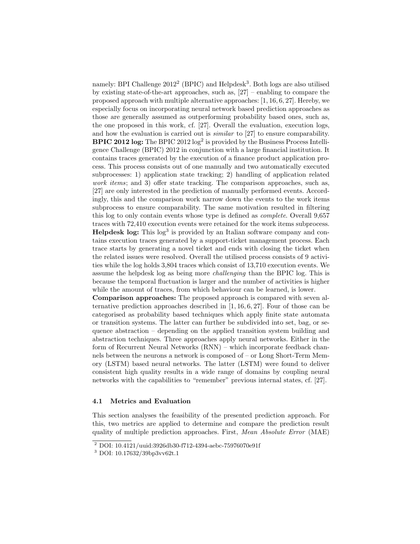namely: BPI Challenge 2012<sup>2</sup> (BPIC) and Helpdesk<sup>3</sup>. Both logs are also utilised by existing state-of-the-art approaches, such as, [27] – enabling to compare the proposed approach with multiple alternative approaches: [1, 16, 6, 27]. Hereby, we especially focus on incorporating neural network based prediction approaches as those are generally assumed as outperforming probability based ones, such as, the one proposed in this work, cf. [27]. Overall the evaluation, execution logs, and how the evaluation is carried out is similar to [27] to ensure comparability. **BPIC 2012 log:** The BPIC 2012  $log^2$  is provided by the Business Process Intelligence Challenge (BPIC) 2012 in conjunction with a large financial institution. It contains traces generated by the execution of a finance product application process. This process consists out of one manually and two automatically executed subprocesses: 1) application state tracking; 2) handling of application related work *items*; and 3) offer state tracking. The comparison approaches, such as, [27] are only interested in the prediction of manually performed events. Accordingly, this and the comparison work narrow down the events to the work items subprocess to ensure comparability. The same motivation resulted in filtering this log to only contain events whose type is defined as complete. Overall 9,657 traces with 72,410 execution events were retained for the work items subprocess. Helpdesk log: This log<sup>3</sup> is provided by an Italian software company and contains execution traces generated by a support-ticket management process. Each trace starts by generating a novel ticket and ends with closing the ticket when the related issues were resolved. Overall the utilised process consists of 9 activities while the log holds 3,804 traces which consist of 13,710 execution events. We assume the helpdesk log as being more challenging than the BPIC log. This is because the temporal fluctuation is larger and the number of activities is higher while the amount of traces, from which behaviour can be learned, is lower.

Comparison approaches: The proposed approach is compared with seven alternative prediction approaches described in [1, 16, 6, 27]. Four of those can be categorised as probability based techniques which apply finite state automata or transition systems. The latter can further be subdivided into set, bag, or sequence abstraction – depending on the applied transition system building and abstraction techniques. Three approaches apply neural networks. Either in the form of Recurrent Neural Networks (RNN) – which incorporate feedback channels between the neurons a network is composed of – or Long Short-Term Memory (LSTM) based neural networks. The latter (LSTM) were found to deliver consistent high quality results in a wide range of domains by coupling neural networks with the capabilities to "remember" previous internal states, cf. [27].

### 4.1 Metrics and Evaluation

This section analyses the feasibility of the presented prediction approach. For this, two metrics are applied to determine and compare the prediction result quality of multiple prediction approaches. First, Mean Absolute Error (MAE)

 $\frac{2}{12}$  DOI: 10.4121/uuid:3926db30-f712-4394-aebc-75976070e91f

<sup>3</sup> DOI: 10.17632/39bp3vv62t.1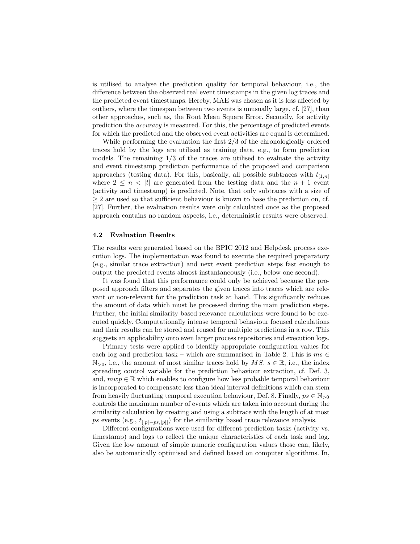is utilised to analyse the prediction quality for temporal behaviour, i.e., the difference between the observed real event timestamps in the given log traces and the predicted event timestamps. Hereby, MAE was chosen as it is less affected by outliers, where the timespan between two events is unusually large, cf. [27], than other approaches, such as, the Root Mean Square Error. Secondly, for activity prediction the accuracy is measured. For this, the percentage of predicted events for which the predicted and the observed event activities are equal is determined.

While performing the evaluation the first 2/3 of the chronologically ordered traces hold by the logs are utilised as training data, e.g., to form prediction models. The remaining  $1/3$  of the traces are utilised to evaluate the activity and event timestamp prediction performance of the proposed and comparison approaches (testing data). For this, basically, all possible subtraces with  $t_{[1,n]}$ where  $2 \leq n \leq |t|$  are generated from the testing data and the  $n + 1$  event (activity and timestamp) is predicted. Note, that only subtraces with a size of  $\geq$  2 are used so that sufficient behaviour is known to base the prediction on, cf. [27]. Further, the evaluation results were only calculated once as the proposed approach contains no random aspects, i.e., deterministic results were observed.

#### 4.2 Evaluation Results

The results were generated based on the BPIC 2012 and Helpdesk process execution logs. The implementation was found to execute the required preparatory (e.g., similar trace extraction) and next event prediction steps fast enough to output the predicted events almost instantaneously (i.e., below one second).

It was found that this performance could only be achieved because the proposed approach filters and separates the given traces into traces which are relevant or non-relevant for the prediction task at hand. This significantly reduces the amount of data which must be processed during the main prediction steps. Further, the initial similarity based relevance calculations were found to be executed quickly. Computationally intense temporal behaviour focused calculations and their results can be stored and reused for multiple predictions in a row. This suggests an applicability onto even larger process repositories and execution logs.

Primary tests were applied to identify appropriate configuration values for each log and prediction task – which are summarised in Table 2. This is  $ms \in$  $\mathbb{N}_{>0}$ , i.e., the amount of most similar traces hold by  $MS, s \in \mathbb{R}$ , i.e., the index spreading control variable for the prediction behaviour extraction, cf. Def. 3, and,  $mwp \in \mathbb{R}$  which enables to configure how less probable temporal behaviour is incorporated to compensate less than ideal interval definitions which can stem from heavily fluctuating temporal execution behaviour, Def. 8. Finally,  $ps \in \mathbb{N}_{>0}$ controls the maximum number of events which are taken into account during the similarity calculation by creating and using a subtrace with the length of at most ps events (e.g.,  $t_{[|p|-ps, |p|]}$ ) for the similarity based trace relevance analysis.

Different configurations were used for different prediction tasks (activity vs. timestamp) and logs to reflect the unique characteristics of each task and log. Given the low amount of simple numeric configuration values those can, likely, also be automatically optimised and defined based on computer algorithms. In,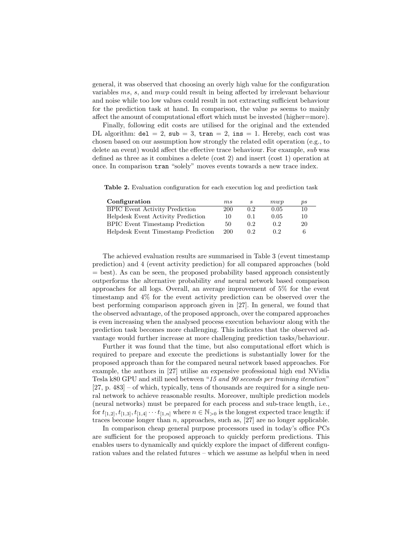general, it was observed that choosing an overly high value for the configuration variables ms, s, and mwp could result in being affected by irrelevant behaviour and noise while too low values could result in not extracting sufficient behaviour for the prediction task at hand. In comparison, the value ps seems to mainly affect the amount of computational effort which must be invested (higher=more).

Finally, following edit costs are utilised for the original and the extended DL algorithm:  $del = 2$ ,  $sub = 3$ ,  $tran = 2$ ,  $ins = 1$ . Hereby, each cost was chosen based on our assumption how strongly the related edit operation (e.g., to delete an event) would affect the effective trace behaviour. For example, sub was defined as three as it combines a delete (cost 2) and insert (cost 1) operation at once. In comparison tran "solely" moves events towards a new trace index.

Table 2. Evaluation configuration for each execution log and prediction task

| Configuration                          | ms  | -S               | mwp              | $\mathit{ps}$ |
|----------------------------------------|-----|------------------|------------------|---------------|
| <b>BPIC</b> Event Activity Prediction  | 200 | 0.2              | 0.05             | 10            |
| Helpdesk Event Activity Prediction     | 10  | 0.1              | 0.05             | 10            |
| <b>BPIC</b> Event Timestamp Prediction | 50  | 0.2 <sub>1</sub> | 0.2 <sup>°</sup> | 20            |
| Helpdesk Event Timestamp Prediction    | 200 | 0.2              | 0.2 <sub>1</sub> |               |

The achieved evaluation results are summarised in Table 3 (event timestamp prediction) and 4 (event activity prediction) for all compared approaches (bold = best). As can be seen, the proposed probability based approach consistently outperforms the alternative probability and neural network based comparison approaches for all logs. Overall, an average improvement of 5% for the event timestamp and 4% for the event activity prediction can be observed over the best performing comparison approach given in [27]. In general, we found that the observed advantage, of the proposed approach, over the compared approaches is even increasing when the analysed process execution behaviour along with the prediction task becomes more challenging. This indicates that the observed advantage would further increase at more challenging prediction tasks/behaviour.

Further it was found that the time, but also computational effort which is required to prepare and execute the predictions is substantially lower for the proposed approach than for the compared neural network based approaches. For example, the authors in [27] utilise an expensive professional high end NVidia Tesla k80 GPU and still need between "15 and 90 seconds per training iteration"  $[27, p. 483]$  – of which, typically, tens of thousands are required for a single neural network to achieve reasonable results. Moreover, multiple prediction models (neural networks) must be prepared for each process and sub-trace length, i.e., for  $t_{[1,2]}, t_{[1,3]}, t_{[1,4]} \cdots t_{[1,n]}$  where  $n \in \mathbb{N}_{>0}$  is the longest expected trace length: if traces become longer than  $n$ , approaches, such as, [27] are no longer applicable.

In comparison cheap general purpose processors used in today's office PCs are sufficient for the proposed approach to quickly perform predictions. This enables users to dynamically and quickly explore the impact of different configuration values and the related futures – which we assume as helpful when in need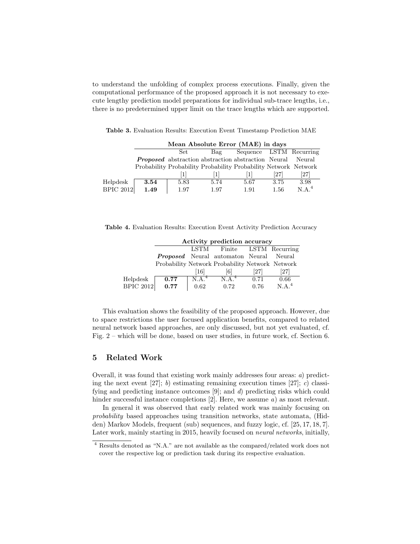to understand the unfolding of complex process executions. Finally, given the computational performance of the proposed approach it is not necessary to execute lengthy prediction model preparations for individual sub-trace lengths, i.e., there is no predetermined upper limit on the trace lengths which are supported.

Table 3. Evaluation Results: Execution Event Timestamp Prediction MAE

|                  | Mean Absolute Error (MAE) in days |      |                                                                 |                         |      |                   |  |  |
|------------------|-----------------------------------|------|-----------------------------------------------------------------|-------------------------|------|-------------------|--|--|
|                  |                                   | Set. | Bag                                                             | Sequence LSTM Recurring |      |                   |  |  |
|                  |                                   |      | <b>Proposed</b> abstraction abstraction abstraction Neural      |                         |      | Neural            |  |  |
|                  |                                   |      | Probability Probability Probability Probability Network Network |                         |      |                   |  |  |
|                  |                                   | 11   |                                                                 | 1                       | [27] | 27                |  |  |
| Helpdesk         | 3.54                              | 5.83 | 5.74                                                            | 5.67                    | 3.75 | 3.98              |  |  |
| <b>BPIC 2012</b> | 1.49                              | 1.97 | 1.97                                                            | 1.91                    | 1.56 | N.A. <sup>4</sup> |  |  |

Table 4. Evaluation Results: Execution Event Activity Prediction Accuracy

|                  | Activity prediction accuracy |                     |                                                 |      |                       |  |  |
|------------------|------------------------------|---------------------|-------------------------------------------------|------|-----------------------|--|--|
|                  |                              | LSTM                |                                                 |      | Finite LSTM Recurring |  |  |
|                  |                              |                     | <b>Proposed</b> Neural automaton Neural         |      | Neural                |  |  |
|                  |                              |                     | Probability Network Probability Network Network |      |                       |  |  |
|                  |                              | [16]                | 61                                              | [27] | [27]                  |  |  |
| Helpdesk         | 0.77                         | $\overline{N}.A.^4$ | $N.A.^4$                                        | 0.71 | 0.66                  |  |  |
| <b>BPIC 2012</b> | 0.77                         | 0.62                | 0.72                                            | 0.76 | N.A. <sup>4</sup>     |  |  |

This evaluation shows the feasibility of the proposed approach. However, due to space restrictions the user focused application benefits, compared to related neural network based approaches, are only discussed, but not yet evaluated, cf. Fig. 2 – which will be done, based on user studies, in future work, cf. Section 6.

# 5 Related Work

Overall, it was found that existing work mainly addresses four areas: a) predicting the next event  $[27]$ ; b) estimating remaining execution times  $[27]$ ; c) classifying and predicting instance outcomes [9]; and d) predicting risks which could hinder successful instance completions [2]. Here, we assume a) as most relevant.

In general it was observed that early related work was mainly focusing on probability based approaches using transition networks, state automata, (Hidden) Markov Models, frequent (sub) sequences, and fuzzy logic, cf. [25, 17, 18, 7]. Later work, mainly starting in 2015, heavily focused on neural networks, initially,

<sup>4</sup> Results denoted as "N.A." are not available as the compared/related work does not cover the respective log or prediction task during its respective evaluation.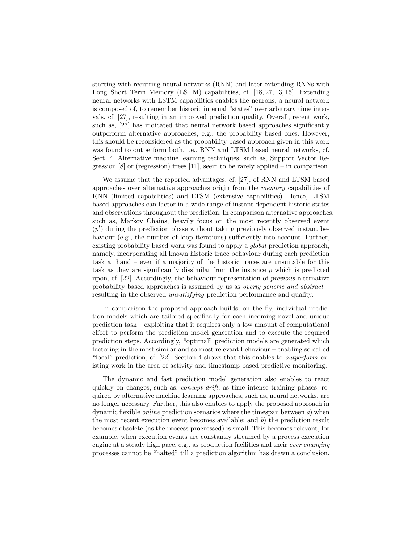starting with recurring neural networks (RNN) and later extending RNNs with Long Short Term Memory (LSTM) capabilities, cf. [18, 27, 13, 15]. Extending neural networks with LSTM capabilities enables the neurons, a neural network is composed of, to remember historic internal "states" over arbitrary time intervals, cf. [27], resulting in an improved prediction quality. Overall, recent work, such as, [27] has indicated that neural network based approaches significantly outperform alternative approaches, e.g., the probability based ones. However, this should be reconsidered as the probability based approach given in this work was found to outperform both, i.e., RNN and LTSM based neural networks, cf. Sect. 4. Alternative machine learning techniques, such as, Support Vector Regression [8] or (regression) trees [11], seem to be rarely applied – in comparison.

We assume that the reported advantages, cf. [27], of RNN and LTSM based approaches over alternative approaches origin from the memory capabilities of RNN (limited capabilities) and LTSM (extensive capabilities). Hence, LTSM based approaches can factor in a wide range of instant dependent historic states and observations throughout the prediction. In comparison alternative approaches, such as, Markov Chains, heavily focus on the most recently observed event  $(p<sup>l</sup>)$  during the prediction phase without taking previously observed instant behaviour (e.g., the number of loop iterations) sufficiently into account. Further, existing probability based work was found to apply a global prediction approach, namely, incorporating all known historic trace behaviour during each prediction task at hand – even if a majority of the historic traces are unsuitable for this task as they are significantly dissimilar from the instance  $p$  which is predicted upon, cf. [22]. Accordingly, the behaviour representation of previous alternative probability based approaches is assumed by us as overly generic and abstract – resulting in the observed unsatisfying prediction performance and quality.

In comparison the proposed approach builds, on the fly, individual prediction models which are tailored specifically for each incoming novel and unique prediction task – exploiting that it requires only a low amount of computational effort to perform the prediction model generation and to execute the required prediction steps. Accordingly, "optimal" prediction models are generated which factoring in the most similar and so most relevant behaviour – enabling so called "local" prediction, cf. [22]. Section 4 shows that this enables to outperform existing work in the area of activity and timestamp based predictive monitoring.

The dynamic and fast prediction model generation also enables to react quickly on changes, such as, *concept drift*, as time intense training phases, required by alternative machine learning approaches, such as, neural networks, are no longer necessary. Further, this also enables to apply the proposed approach in dynamic flexible online prediction scenarios where the timespan between a) when the most recent execution event becomes available; and  $b$ ) the prediction result becomes obsolete (as the process progressed) is small. This becomes relevant, for example, when execution events are constantly streamed by a process execution engine at a steady high pace, e.g., as production facilities and their ever changing processes cannot be "halted" till a prediction algorithm has drawn a conclusion.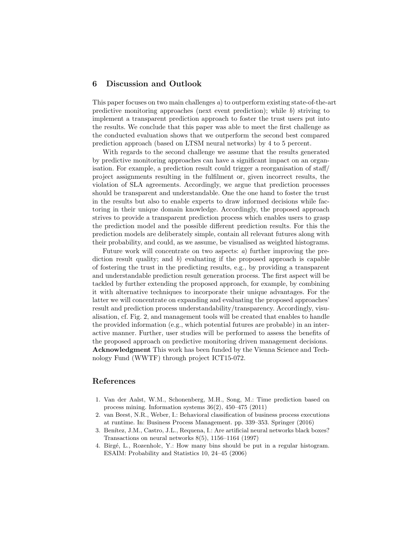# 6 Discussion and Outlook

This paper focuses on two main challenges a) to outperform existing state-of-the-art predictive monitoring approaches (next event prediction); while b) striving to implement a transparent prediction approach to foster the trust users put into the results. We conclude that this paper was able to meet the first challenge as the conducted evaluation shows that we outperform the second best compared prediction approach (based on LTSM neural networks) by 4 to 5 percent.

With regards to the second challenge we assume that the results generated by predictive monitoring approaches can have a significant impact on an organisation. For example, a prediction result could trigger a reorganisation of staff/ project assignments resulting in the fulfilment or, given incorrect results, the violation of SLA agreements. Accordingly, we argue that prediction processes should be transparent and understandable. One the one hand to foster the trust in the results but also to enable experts to draw informed decisions while factoring in their unique domain knowledge. Accordingly, the proposed approach strives to provide a transparent prediction process which enables users to grasp the prediction model and the possible different prediction results. For this the prediction models are deliberately simple, contain all relevant futures along with their probability, and could, as we assume, be visualised as weighted histograms.

Future work will concentrate on two aspects: a) further improving the prediction result quality; and b) evaluating if the proposed approach is capable of fostering the trust in the predicting results, e.g., by providing a transparent and understandable prediction result generation process. The first aspect will be tackled by further extending the proposed approach, for example, by combining it with alternative techniques to incorporate their unique advantages. For the latter we will concentrate on expanding and evaluating the proposed approaches' result and prediction process understandability/transparency. Accordingly, visualisation, cf. Fig. 2, and management tools will be created that enables to handle the provided information (e.g., which potential futures are probable) in an interactive manner. Further, user studies will be performed to assess the benefits of the proposed approach on predictive monitoring driven management decisions. Acknowledgment This work has been funded by the Vienna Science and Technology Fund (WWTF) through project ICT15-072.

# References

- 1. Van der Aalst, W.M., Schonenberg, M.H., Song, M.: Time prediction based on process mining. Information systems 36(2), 450–475 (2011)
- 2. van Beest, N.R., Weber, I.: Behavioral classification of business process executions at runtime. In: Business Process Management. pp. 339–353. Springer (2016)
- 3. Benítez, J.M., Castro, J.L., Requena, I.: Are artificial neural networks black boxes? Transactions on neural networks 8(5), 1156–1164 (1997)
- 4. Birg´e, L., Rozenholc, Y.: How many bins should be put in a regular histogram. ESAIM: Probability and Statistics 10, 24–45 (2006)